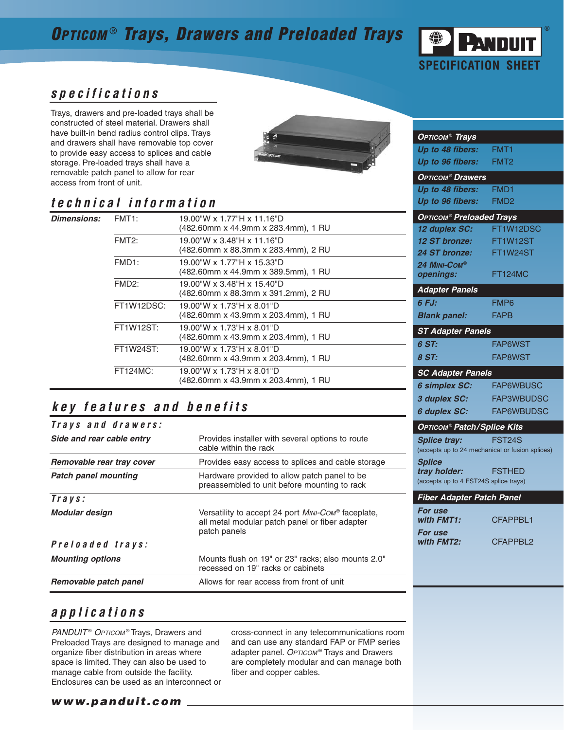# **OPTICOM** ® **Trays, Drawers and Preloaded Trays**



**OPTICOM**® **Trays**

### **specifications**

Trays, drawers and pre-loaded trays shall be constructed of steel material. Drawers shall have built-in bend radius control clips. Trays and drawers shall have removable top cover to provide easy access to splices and cable storage. Pre-loaded trays shall have a removable patch panel to allow for rear access from front of unit.



## **technical information**

| <b>Dimensions:</b> | FMT <sub>1</sub> : | 19.00"W x 1.77"H x 11.16"D<br>(482.60mm x 44.9mm x 283.4mm), 1 RU |
|--------------------|--------------------|-------------------------------------------------------------------|
|                    | FMT <sub>2</sub> : | 19.00"W x 3.48"H x 11.16"D<br>(482.60mm x 88.3mm x 283.4mm), 2 RU |
|                    | FMD <sub>1</sub> : | 19.00"W x 1.77"H x 15.33"D<br>(482.60mm x 44.9mm x 389.5mm), 1 RU |
|                    | FMD <sub>2</sub> : | 19.00"W x 3.48"H x 15.40"D<br>(482.60mm x 88.3mm x 391.2mm), 2 RU |
|                    | FT1W12DSC:         | 19.00"W x 1.73"H x 8.01"D<br>(482.60mm x 43.9mm x 203.4mm), 1 RU  |
|                    | <b>FT1W12ST:</b>   | 19.00"W x 1.73"H x 8.01"D<br>(482.60mm x 43.9mm x 203.4mm), 1 RU  |
|                    | <b>FT1W24ST:</b>   | 19.00"W x 1.73"H x 8.01"D<br>(482.60mm x 43.9mm x 203.4mm), 1 RU  |
|                    | <b>FT124MC:</b>    | 19.00"W x 1.73"H x 8.01"D<br>(482.60mm x 43.9mm x 203.4mm), 1 RU  |

## **key features and benefits**

| Trays and drawers:          |                                                                                                                              |  |
|-----------------------------|------------------------------------------------------------------------------------------------------------------------------|--|
| Side and rear cable entry   | Provides installer with several options to route<br>cable within the rack                                                    |  |
| Removable rear tray cover   | Provides easy access to splices and cable storage                                                                            |  |
| <b>Patch panel mounting</b> | Hardware provided to allow patch panel to be<br>preassembled to unit before mounting to rack                                 |  |
| $Travs$ :                   |                                                                                                                              |  |
| Modular design              | Versatility to accept 24 port <i>MINI-COM</i> ® faceplate,<br>all metal modular patch panel or fiber adapter<br>patch panels |  |
| Preloaded trays:            |                                                                                                                              |  |
| <b>Mounting options</b>     | Mounts flush on 19" or 23" racks; also mounts 2.0"<br>recessed on 19" racks or cabinets                                      |  |
| Removable patch panel       | Allows for rear access from front of unit                                                                                    |  |

#### **Up to 48 fibers:** FMT1 **Up to 96 fibers:** FMT2 **OPTICOM**® **Drawers Up to 48 fibers:** FMD1 **Up to 96 fibers:** FMD2 **OPTICOM**® **Preloaded Trays 12 duplex SC:** FT1W12DSC **12 ST bronze:** FT1W12ST **24 ST bronze:** FT1W24ST **24 MINI-COM**® **openings:** FT124MC **Adapter Panels 6 FJ:** FMP6 **Blank panel:** FAPB **ST Adapter Panels 6 ST:** FAP6WST **8 ST:** FAP8WST **SC Adapter Panels 6 simplex SC:** FAP6WBUSC **3 duplex SC:** FAP3WBUDSC **6 duplex SC:** FAP6WBUDSC **OPTICOM**® **Patch/Splice Kits Splice tray:** FST24S (accepts up to 24 mechanical or fusion splices) **Splice tray holder:** FSTHED (accepts up to 4 FST24S splice trays) **Fiber Adapter Patch Panel For use** with **FMT1:** CFAPPBL1 **For use with FMT2:** CFAPPBL2

## **applications**

PANDUIT<sup>®</sup> OPTICOM<sup>®</sup> Trays, Drawers and Preloaded Trays are designed to manage and organize fiber distribution in areas where space is limited. They can also be used to manage cable from outside the facility. Enclosures can be used as an interconnect or cross-connect in any telecommunications room and can use any standard FAP or FMP series adapter panel. OPTICOM® Trays and Drawers are completely modular and can manage both fiber and copper cables.

#### **www.panduit.com**